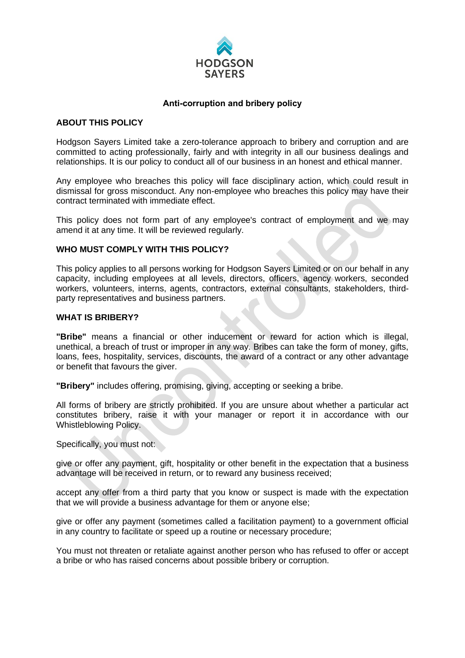

## **Anti-corruption and bribery policy**

## **ABOUT THIS POLICY**

Hodgson Sayers Limited take a zero-tolerance approach to bribery and corruption and are committed to acting professionally, fairly and with integrity in all our business dealings and relationships. It is our policy to conduct all of our business in an honest and ethical manner.

Any employee who breaches this policy will face disciplinary action, which could result in dismissal for gross misconduct. Any non-employee who breaches this policy may have their contract terminated with immediate effect.

This policy does not form part of any employee's contract of employment and we may amend it at any time. It will be reviewed regularly.

## **WHO MUST COMPLY WITH THIS POLICY?**

This policy applies to all persons working for Hodgson Sayers Limited or on our behalf in any capacity, including employees at all levels, directors, officers, agency workers, seconded workers, volunteers, interns, agents, contractors, external consultants, stakeholders, thirdparty representatives and business partners.

### **WHAT IS BRIBERY?**

**"Bribe"** means a financial or other inducement or reward for action which is illegal, unethical, a breach of trust or improper in any way. Bribes can take the form of money, gifts, loans, fees, hospitality, services, discounts, the award of a contract or any other advantage or benefit that favours the giver.

**"Bribery"** includes offering, promising, giving, accepting or seeking a bribe.

All forms of bribery are strictly prohibited. If you are unsure about whether a particular act constitutes bribery, raise it with your manager or report it in accordance with our Whistleblowing Policy.

Specifically, you must not:

give or offer any payment, gift, hospitality or other benefit in the expectation that a business advantage will be received in return, or to reward any business received;

accept any offer from a third party that you know or suspect is made with the expectation that we will provide a business advantage for them or anyone else;

give or offer any payment (sometimes called a facilitation payment) to a government official in any country to facilitate or speed up a routine or necessary procedure;

You must not threaten or retaliate against another person who has refused to offer or accept a bribe or who has raised concerns about possible bribery or corruption.